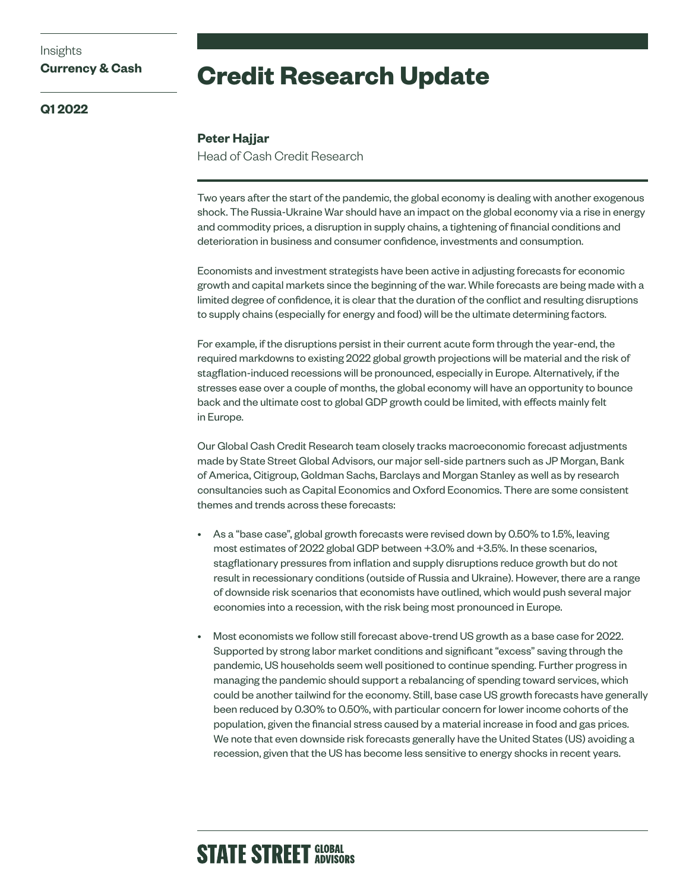# **Credit Research Update**

### **Q1 2022**

**Currency & Cash**

Insights

#### **Peter Hajjar**

Head of Cash Credit Research

Two years after the start of the pandemic, the global economy is dealing with another exogenous shock. The Russia-Ukraine War should have an impact on the global economy via a rise in energy and commodity prices, a disruption in supply chains, a tightening of financial conditions and deterioration in business and consumer confidence, investments and consumption.

Economists and investment strategists have been active in adjusting forecasts for economic growth and capital markets since the beginning of the war. While forecasts are being made with a limited degree of confidence, it is clear that the duration of the conflict and resulting disruptions to supply chains (especially for energy and food) will be the ultimate determining factors.

For example, if the disruptions persist in their current acute form through the year-end, the required markdowns to existing 2022 global growth projections will be material and the risk of stagflation-induced recessions will be pronounced, especially in Europe. Alternatively, if the stresses ease over a couple of months, the global economy will have an opportunity to bounce back and the ultimate cost to global GDP growth could be limited, with effects mainly felt in Europe.

Our Global Cash Credit Research team closely tracks macroeconomic forecast adjustments made by State Street Global Advisors, our major sell-side partners such as JP Morgan, Bank of America, Citigroup, Goldman Sachs, Barclays and Morgan Stanley as well as by research consultancies such as Capital Economics and Oxford Economics. There are some consistent themes and trends across these forecasts:

- As a "base case", global growth forecasts were revised down by 0.50% to 1.5%, leaving most estimates of 2022 global GDP between +3.0% and +3.5%. In these scenarios, stagflationary pressures from inflation and supply disruptions reduce growth but do not result in recessionary conditions (outside of Russia and Ukraine). However, there are a range of downside risk scenarios that economists have outlined, which would push several major economies into a recession, with the risk being most pronounced in Europe.
- Most economists we follow still forecast above-trend US growth as a base case for 2022. Supported by strong labor market conditions and significant "excess" saving through the pandemic, US households seem well positioned to continue spending. Further progress in managing the pandemic should support a rebalancing of spending toward services, which could be another tailwind for the economy. Still, base case US growth forecasts have generally been reduced by 0.30% to 0.50%, with particular concern for lower income cohorts of the population, given the financial stress caused by a material increase in food and gas prices. We note that even downside risk forecasts generally have the United States (US) avoiding a recession, given that the US has become less sensitive to energy shocks in recent years.

# **STATE STREET GLOBAL**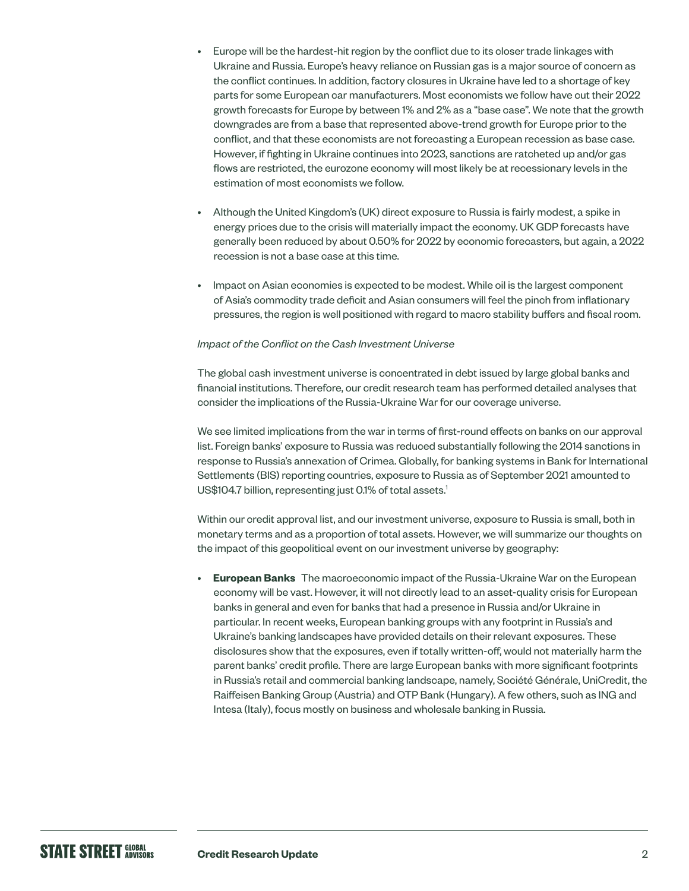- Europe will be the hardest-hit region by the conflict due to its closer trade linkages with Ukraine and Russia. Europe's heavy reliance on Russian gas is a major source of concern as the conflict continues. In addition, factory closures in Ukraine have led to a shortage of key parts for some European car manufacturers. Most economists we follow have cut their 2022 growth forecasts for Europe by between 1% and 2% as a "base case". We note that the growth downgrades are from a base that represented above-trend growth for Europe prior to the conflict, and that these economists are not forecasting a European recession as base case. However, if fighting in Ukraine continues into 2023, sanctions are ratcheted up and/or gas flows are restricted, the eurozone economy will most likely be at recessionary levels in the estimation of most economists we follow.
- Although the United Kingdom's (UK) direct exposure to Russia is fairly modest, a spike in energy prices due to the crisis will materially impact the economy. UK GDP forecasts have generally been reduced by about 0.50% for 2022 by economic forecasters, but again, a 2022 recession is not a base case at this time.
- Impact on Asian economies is expected to be modest. While oil is the largest component of Asia's commodity trade deficit and Asian consumers will feel the pinch from inflationary pressures, the region is well positioned with regard to macro stability buffers and fiscal room.

#### *Impact of the Conflict on the Cash Investment Universe*

The global cash investment universe is concentrated in debt issued by large global banks and financial institutions. Therefore, our credit research team has performed detailed analyses that consider the implications of the Russia-Ukraine War for our coverage universe.

We see limited implications from the war in terms of first-round effects on banks on our approval list. Foreign banks' exposure to Russia was reduced substantially following the 2014 sanctions in response to Russia's annexation of Crimea. Globally, for banking systems in Bank for International Settlements (BIS) reporting countries, exposure to Russia as of September 2021 amounted to US\$104.7 billion, representing just 0.1% of total assets.<sup>1</sup>

Within our credit approval list, and our investment universe, exposure to Russia is small, both in monetary terms and as a proportion of total assets. However, we will summarize our thoughts on the impact of this geopolitical event on our investment universe by geography:

• **European Banks** The macroeconomic impact of the Russia-Ukraine War on the European economy will be vast. However, it will not directly lead to an asset-quality crisis for European banks in general and even for banks that had a presence in Russia and/or Ukraine in particular. In recent weeks, European banking groups with any footprint in Russia's and Ukraine's banking landscapes have provided details on their relevant exposures. These disclosures show that the exposures, even if totally written-off, would not materially harm the parent banks' credit profile. There are large European banks with more significant footprints in Russia's retail and commercial banking landscape, namely, Société Générale, UniCredit, the Raiffeisen Banking Group (Austria) and OTP Bank (Hungary). A few others, such as ING and Intesa (Italy), focus mostly on business and wholesale banking in Russia.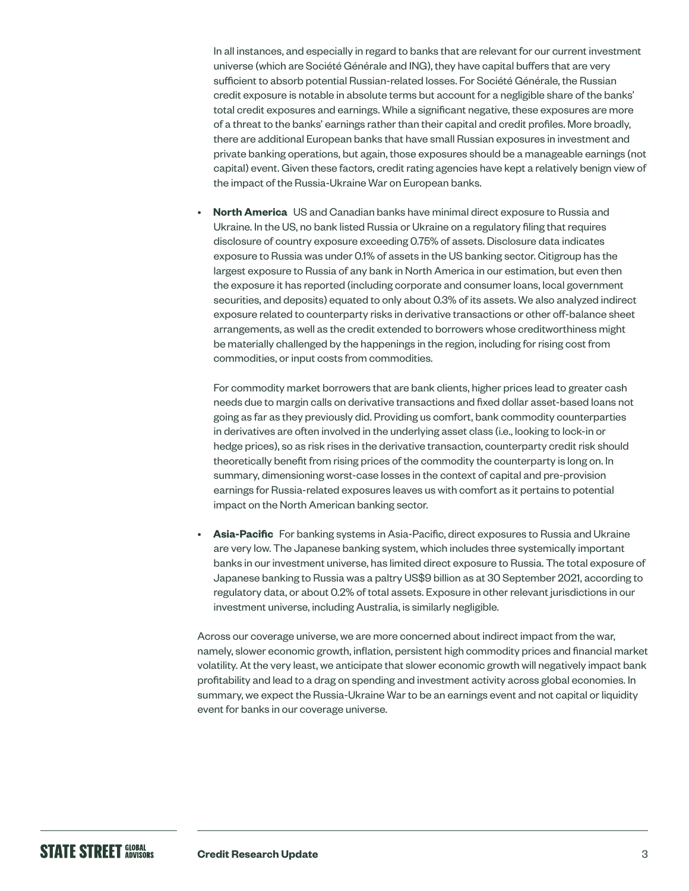In all instances, and especially in regard to banks that are relevant for our current investment universe (which are Société Générale and ING), they have capital buffers that are very sufficient to absorb potential Russian-related losses. For Société Générale, the Russian credit exposure is notable in absolute terms but account for a negligible share of the banks' total credit exposures and earnings. While a significant negative, these exposures are more of a threat to the banks' earnings rather than their capital and credit profiles. More broadly, there are additional European banks that have small Russian exposures in investment and private banking operations, but again, those exposures should be a manageable earnings (not capital) event. Given these factors, credit rating agencies have kept a relatively benign view of the impact of the Russia-Ukraine War on European banks.

**North America** US and Canadian banks have minimal direct exposure to Russia and Ukraine. In the US, no bank listed Russia or Ukraine on a regulatory filing that requires disclosure of country exposure exceeding 0.75% of assets. Disclosure data indicates exposure to Russia was under 0.1% of assets in the US banking sector. Citigroup has the largest exposure to Russia of any bank in North America in our estimation, but even then the exposure it has reported (including corporate and consumer loans, local government securities, and deposits) equated to only about 0.3% of its assets. We also analyzed indirect exposure related to counterparty risks in derivative transactions or other off-balance sheet arrangements, as well as the credit extended to borrowers whose creditworthiness might be materially challenged by the happenings in the region, including for rising cost from commodities, or input costs from commodities.

For commodity market borrowers that are bank clients, higher prices lead to greater cash needs due to margin calls on derivative transactions and fixed dollar asset-based loans not going as far as they previously did. Providing us comfort, bank commodity counterparties in derivatives are often involved in the underlying asset class (i.e., looking to lock-in or hedge prices), so as risk rises in the derivative transaction, counterparty credit risk should theoretically benefit from rising prices of the commodity the counterparty is long on. In summary, dimensioning worst-case losses in the context of capital and pre-provision earnings for Russia-related exposures leaves us with comfort as it pertains to potential impact on the North American banking sector.

• **Asia-Pacific** For banking systems in Asia-Pacific, direct exposures to Russia and Ukraine are very low. The Japanese banking system, which includes three systemically important banks in our investment universe, has limited direct exposure to Russia. The total exposure of Japanese banking to Russia was a paltry US\$9 billion as at 30 September 2021, according to regulatory data, or about 0.2% of total assets. Exposure in other relevant jurisdictions in our investment universe, including Australia, is similarly negligible.

Across our coverage universe, we are more concerned about indirect impact from the war, namely, slower economic growth, inflation, persistent high commodity prices and financial market volatility. At the very least, we anticipate that slower economic growth will negatively impact bank profitability and lead to a drag on spending and investment activity across global economies. In summary, we expect the Russia-Ukraine War to be an earnings event and not capital or liquidity event for banks in our coverage universe.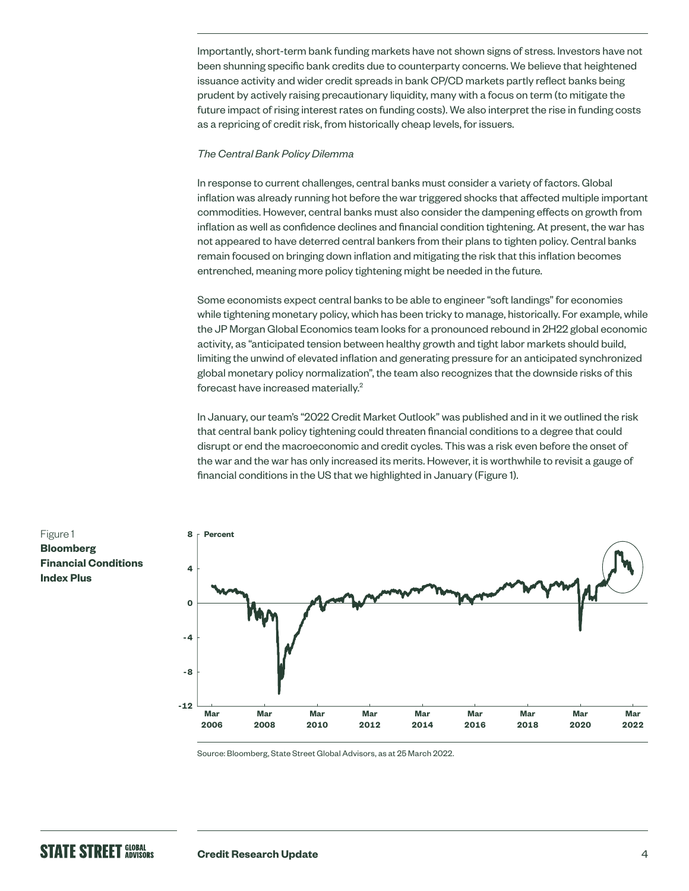Importantly, short-term bank funding markets have not shown signs of stress. Investors have not been shunning specific bank credits due to counterparty concerns. We believe that heightened issuance activity and wider credit spreads in bank CP/CD markets partly reflect banks being prudent by actively raising precautionary liquidity, many with a focus on term (to mitigate the future impact of rising interest rates on funding costs). We also interpret the rise in funding costs as a repricing of credit risk, from historically cheap levels, for issuers.

#### *The Central Bank Policy Dilemma*

In response to current challenges, central banks must consider a variety of factors. Global inflation was already running hot before the war triggered shocks that affected multiple important commodities. However, central banks must also consider the dampening effects on growth from inflation as well as confidence declines and financial condition tightening. At present, the war has not appeared to have deterred central bankers from their plans to tighten policy. Central banks remain focused on bringing down inflation and mitigating the risk that this inflation becomes entrenched, meaning more policy tightening might be needed in the future.

Some economists expect central banks to be able to engineer "soft landings" for economies while tightening monetary policy, which has been tricky to manage, historically. For example, while the JP Morgan Global Economics team looks for a pronounced rebound in 2H22 global economic activity, as "anticipated tension between healthy growth and tight labor markets should build, limiting the unwind of elevated inflation and generating pressure for an anticipated synchronized global monetary policy normalization", the team also recognizes that the downside risks of this forecast have increased materially.<sup>2</sup>

In January, our team's "2022 Credit Market Outlook" was published and in it we outlined the risk that central bank policy tightening could threaten financial conditions to a degree that could disrupt or end the macroeconomic and credit cycles. This was a risk even before the onset of the war and the war has only increased its merits. However, it is worthwhile to revisit a gauge of financial conditions in the US that we highlighted in January (Figure 1).



Source: Bloomberg, State Street Global Advisors, as at 25 March 2022.

Figure 1 **Bloomberg Financial Conditions Index Plus**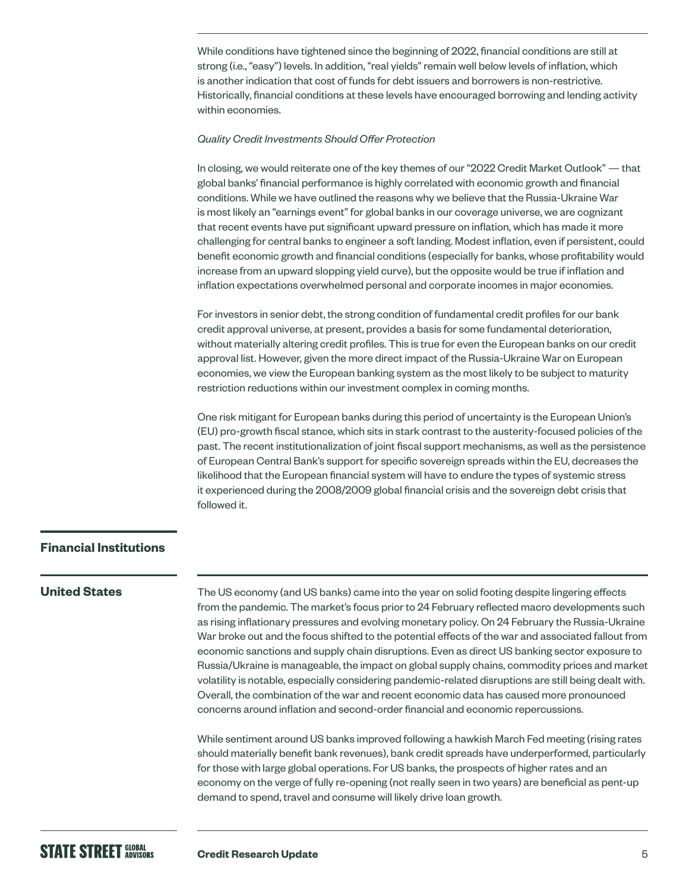While conditions have tightened since the beginning of 2022, financial conditions are still at strong (i.e., "easy") levels. In addition, "real yields" remain well below levels of inflation, which is another indication that cost of funds for debt issuers and borrowers is non-restrictive. Historically, financial conditions at these levels have encouraged borrowing and lending activity within economies.

#### *Quality Credit Investments Should Offer Protection*

In closing, we would reiterate one of the key themes of our "2022 Credit Market Outlook" — that global banks' financial performance is highly correlated with economic growth and financial conditions. While we have outlined the reasons why we believe that the Russia-Ukraine War is most likely an "earnings event" for global banks in our coverage universe, we are cognizant that recent events have put significant upward pressure on inflation, which has made it more challenging for central banks to engineer a soft landing. Modest inflation, even if persistent, could benefit economic growth and financial conditions (especially for banks, whose profitability would increase from an upward slopping yield curve), but the opposite would be true if inflation and inflation expectations overwhelmed personal and corporate incomes in major economies.

For investors in senior debt, the strong condition of fundamental credit profiles for our bank credit approval universe, at present, provides a basis for some fundamental deterioration, without materially altering credit profiles. This is true for even the European banks on our credit approval list. However, given the more direct impact of the Russia-Ukraine War on European economies, we view the European banking system as the most likely to be subject to maturity restriction reductions within our investment complex in coming months.

One risk mitigant for European banks during this period of uncertainty is the European Union's (EU) pro-growth fiscal stance, which sits in stark contrast to the austerity-focused policies of the past. The recent institutionalization of joint fiscal support mechanisms, as well as the persistence of European Central Bank's support for specific sovereign spreads within the EU, decreases the likelihood that the European financial system will have to endure the types of systemic stress it experienced during the 2008/2009 global financial crisis and the sovereign debt crisis that followed it.

#### **Financial Institutions**

#### **United States**

The US economy (and US banks) came into the year on solid footing despite lingering effects from the pandemic. The market's focus prior to 24 February reflected macro developments such as rising inflationary pressures and evolving monetary policy. On 24 February the Russia-Ukraine War broke out and the focus shifted to the potential effects of the war and associated fallout from economic sanctions and supply chain disruptions. Even as direct US banking sector exposure to Russia/Ukraine is manageable, the impact on global supply chains, commodity prices and market volatility is notable, especially considering pandemic-related disruptions are still being dealt with. Overall, the combination of the war and recent economic data has caused more pronounced concerns around inflation and second-order financial and economic repercussions.

While sentiment around US banks improved following a hawkish March Fed meeting (rising rates should materially benefit bank revenues), bank credit spreads have underperformed, particularly for those with large global operations. For US banks, the prospects of higher rates and an economy on the verge of fully re-opening (not really seen in two years) are beneficial as pent-up demand to spend, travel and consume will likely drive loan growth.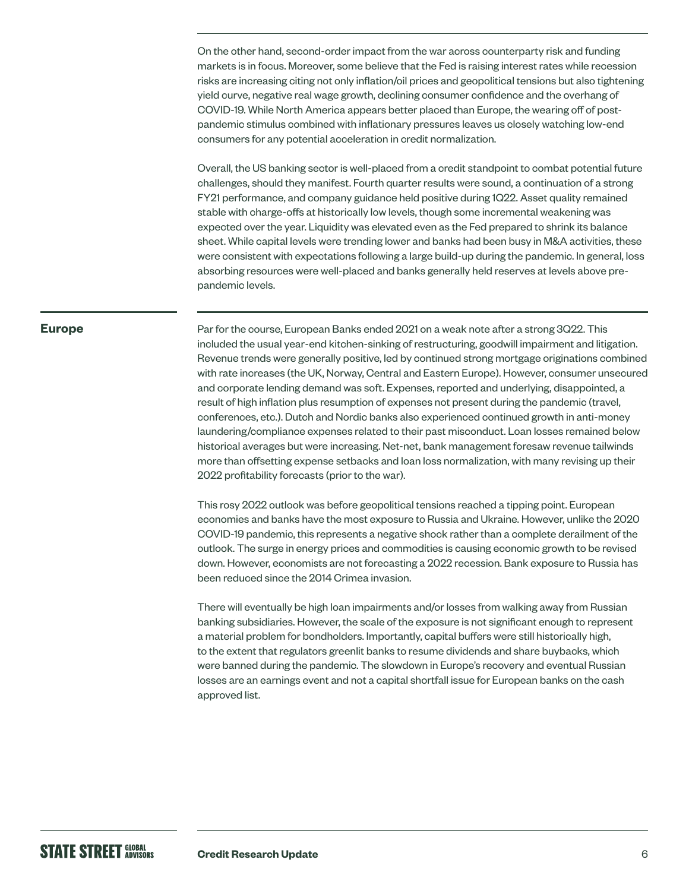On the other hand, second-order impact from the war across counterparty risk and funding markets is in focus. Moreover, some believe that the Fed is raising interest rates while recession risks are increasing citing not only inflation/oil prices and geopolitical tensions but also tightening yield curve, negative real wage growth, declining consumer confidence and the overhang of COVID-19. While North America appears better placed than Europe, the wearing off of postpandemic stimulus combined with inflationary pressures leaves us closely watching low-end consumers for any potential acceleration in credit normalization.

Overall, the US banking sector is well-placed from a credit standpoint to combat potential future challenges, should they manifest. Fourth quarter results were sound, a continuation of a strong FY21 performance, and company guidance held positive during 1Q22. Asset quality remained stable with charge-offs at historically low levels, though some incremental weakening was expected over the year. Liquidity was elevated even as the Fed prepared to shrink its balance sheet. While capital levels were trending lower and banks had been busy in M&A activities, these were consistent with expectations following a large build-up during the pandemic. In general, loss absorbing resources were well-placed and banks generally held reserves at levels above prepandemic levels.

#### **Europe**

Par for the course, European Banks ended 2021 on a weak note after a strong 3Q22. This included the usual year-end kitchen-sinking of restructuring, goodwill impairment and litigation. Revenue trends were generally positive, led by continued strong mortgage originations combined with rate increases (the UK, Norway, Central and Eastern Europe). However, consumer unsecured and corporate lending demand was soft. Expenses, reported and underlying, disappointed, a result of high inflation plus resumption of expenses not present during the pandemic (travel, conferences, etc.). Dutch and Nordic banks also experienced continued growth in anti-money laundering/compliance expenses related to their past misconduct. Loan losses remained below historical averages but were increasing. Net-net, bank management foresaw revenue tailwinds more than offsetting expense setbacks and loan loss normalization, with many revising up their 2022 profitability forecasts (prior to the war).

This rosy 2022 outlook was before geopolitical tensions reached a tipping point. European economies and banks have the most exposure to Russia and Ukraine. However, unlike the 2020 COVID-19 pandemic, this represents a negative shock rather than a complete derailment of the outlook. The surge in energy prices and commodities is causing economic growth to be revised down. However, economists are not forecasting a 2022 recession. Bank exposure to Russia has been reduced since the 2014 Crimea invasion.

There will eventually be high loan impairments and/or losses from walking away from Russian banking subsidiaries. However, the scale of the exposure is not significant enough to represent a material problem for bondholders. Importantly, capital buffers were still historically high, to the extent that regulators greenlit banks to resume dividends and share buybacks, which were banned during the pandemic. The slowdown in Europe's recovery and eventual Russian losses are an earnings event and not a capital shortfall issue for European banks on the cash approved list.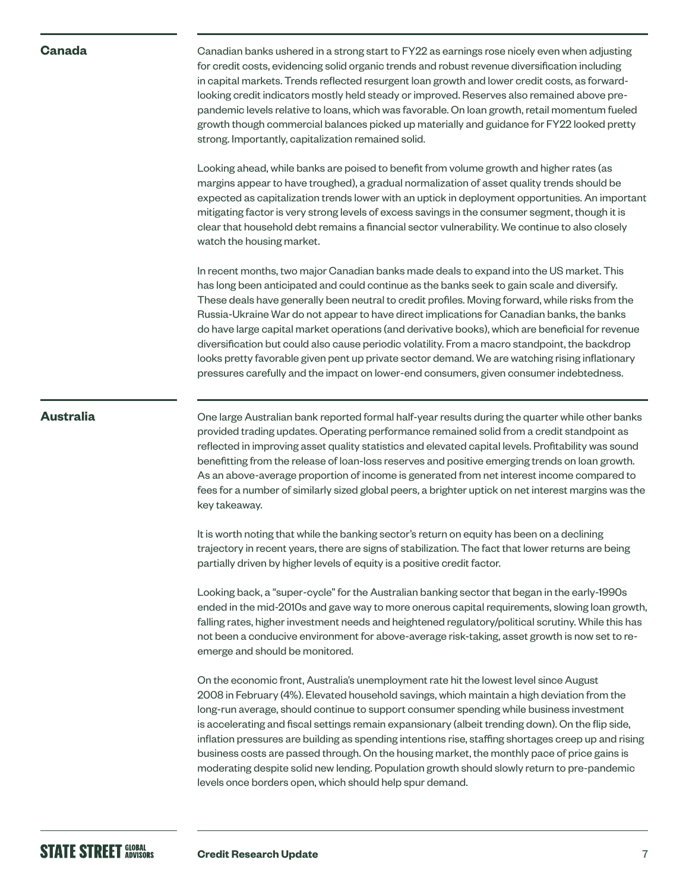#### **Canada**

Canadian banks ushered in a strong start to FY22 as earnings rose nicely even when adjusting for credit costs, evidencing solid organic trends and robust revenue diversification including in capital markets. Trends reflected resurgent loan growth and lower credit costs, as forwardlooking credit indicators mostly held steady or improved. Reserves also remained above prepandemic levels relative to loans, which was favorable. On loan growth, retail momentum fueled growth though commercial balances picked up materially and guidance for FY22 looked pretty strong. Importantly, capitalization remained solid.

Looking ahead, while banks are poised to benefit from volume growth and higher rates (as margins appear to have troughed), a gradual normalization of asset quality trends should be expected as capitalization trends lower with an uptick in deployment opportunities. An important mitigating factor is very strong levels of excess savings in the consumer segment, though it is clear that household debt remains a financial sector vulnerability. We continue to also closely watch the housing market.

In recent months, two major Canadian banks made deals to expand into the US market. This has long been anticipated and could continue as the banks seek to gain scale and diversify. These deals have generally been neutral to credit profiles. Moving forward, while risks from the Russia-Ukraine War do not appear to have direct implications for Canadian banks, the banks do have large capital market operations (and derivative books), which are beneficial for revenue diversification but could also cause periodic volatility. From a macro standpoint, the backdrop looks pretty favorable given pent up private sector demand. We are watching rising inflationary pressures carefully and the impact on lower-end consumers, given consumer indebtedness.

#### **Australia**

One large Australian bank reported formal half-year results during the quarter while other banks provided trading updates. Operating performance remained solid from a credit standpoint as reflected in improving asset quality statistics and elevated capital levels. Profitability was sound benefitting from the release of loan-loss reserves and positive emerging trends on loan growth. As an above-average proportion of income is generated from net interest income compared to fees for a number of similarly sized global peers, a brighter uptick on net interest margins was the key takeaway.

It is worth noting that while the banking sector's return on equity has been on a declining trajectory in recent years, there are signs of stabilization. The fact that lower returns are being partially driven by higher levels of equity is a positive credit factor.

Looking back, a "super-cycle" for the Australian banking sector that began in the early-1990s ended in the mid-2010s and gave way to more onerous capital requirements, slowing loan growth, falling rates, higher investment needs and heightened regulatory/political scrutiny. While this has not been a conducive environment for above-average risk-taking, asset growth is now set to reemerge and should be monitored.

On the economic front, Australia's unemployment rate hit the lowest level since August 2008 in February (4%). Elevated household savings, which maintain a high deviation from the long-run average, should continue to support consumer spending while business investment is accelerating and fiscal settings remain expansionary (albeit trending down). On the flip side, inflation pressures are building as spending intentions rise, staffing shortages creep up and rising business costs are passed through. On the housing market, the monthly pace of price gains is moderating despite solid new lending. Population growth should slowly return to pre-pandemic levels once borders open, which should help spur demand.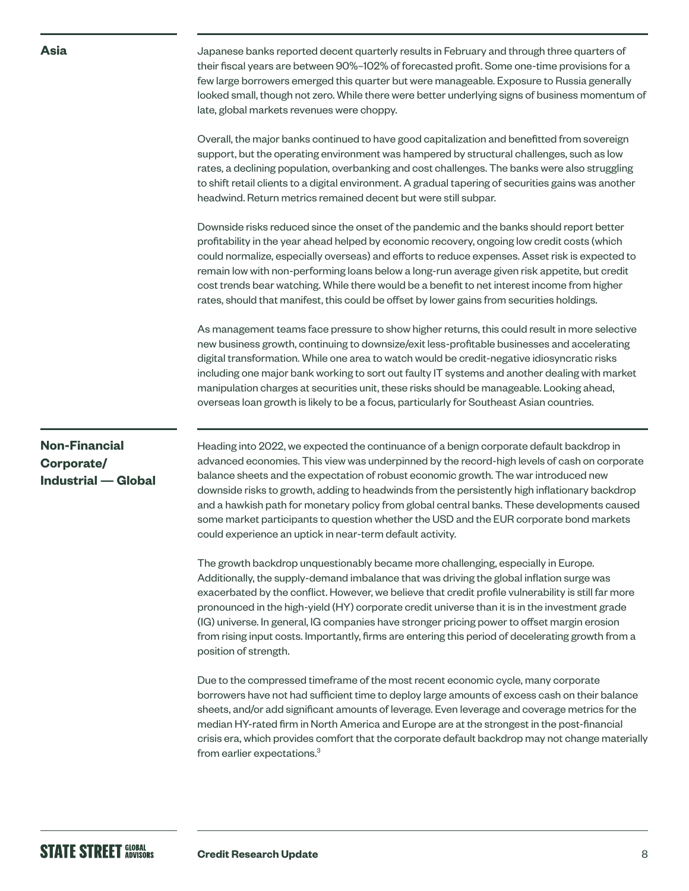Japanese banks reported decent quarterly results in February and through three quarters of their fiscal years are between 90%–102% of forecasted profit. Some one-time provisions for a few large borrowers emerged this quarter but were manageable. Exposure to Russia generally looked small, though not zero. While there were better underlying signs of business momentum of late, global markets revenues were choppy.

Overall, the major banks continued to have good capitalization and benefitted from sovereign support, but the operating environment was hampered by structural challenges, such as low rates, a declining population, overbanking and cost challenges. The banks were also struggling to shift retail clients to a digital environment. A gradual tapering of securities gains was another headwind. Return metrics remained decent but were still subpar.

Downside risks reduced since the onset of the pandemic and the banks should report better profitability in the year ahead helped by economic recovery, ongoing low credit costs (which could normalize, especially overseas) and efforts to reduce expenses. Asset risk is expected to remain low with non-performing loans below a long-run average given risk appetite, but credit cost trends bear watching. While there would be a benefit to net interest income from higher rates, should that manifest, this could be offset by lower gains from securities holdings.

As management teams face pressure to show higher returns, this could result in more selective new business growth, continuing to downsize/exit less-profitable businesses and accelerating digital transformation. While one area to watch would be credit-negative idiosyncratic risks including one major bank working to sort out faulty IT systems and another dealing with market manipulation charges at securities unit, these risks should be manageable. Looking ahead, overseas loan growth is likely to be a focus, particularly for Southeast Asian countries.

### **Non-Financial Corporate/ Industrial — Global**

**Asia**

Heading into 2022, we expected the continuance of a benign corporate default backdrop in advanced economies. This view was underpinned by the record-high levels of cash on corporate balance sheets and the expectation of robust economic growth. The war introduced new downside risks to growth, adding to headwinds from the persistently high inflationary backdrop and a hawkish path for monetary policy from global central banks. These developments caused some market participants to question whether the USD and the EUR corporate bond markets could experience an uptick in near-term default activity.

The growth backdrop unquestionably became more challenging, especially in Europe. Additionally, the supply-demand imbalance that was driving the global inflation surge was exacerbated by the conflict. However, we believe that credit profile vulnerability is still far more pronounced in the high-yield (HY) corporate credit universe than it is in the investment grade (IG) universe. In general, IG companies have stronger pricing power to offset margin erosion from rising input costs. Importantly, firms are entering this period of decelerating growth from a position of strength.

Due to the compressed timeframe of the most recent economic cycle, many corporate borrowers have not had sufficient time to deploy large amounts of excess cash on their balance sheets, and/or add significant amounts of leverage. Even leverage and coverage metrics for the median HY-rated firm in North America and Europe are at the strongest in the post-financial crisis era, which provides comfort that the corporate default backdrop may not change materially from earlier expectations.<sup>3</sup>

## **STATE STREET GLOBAL**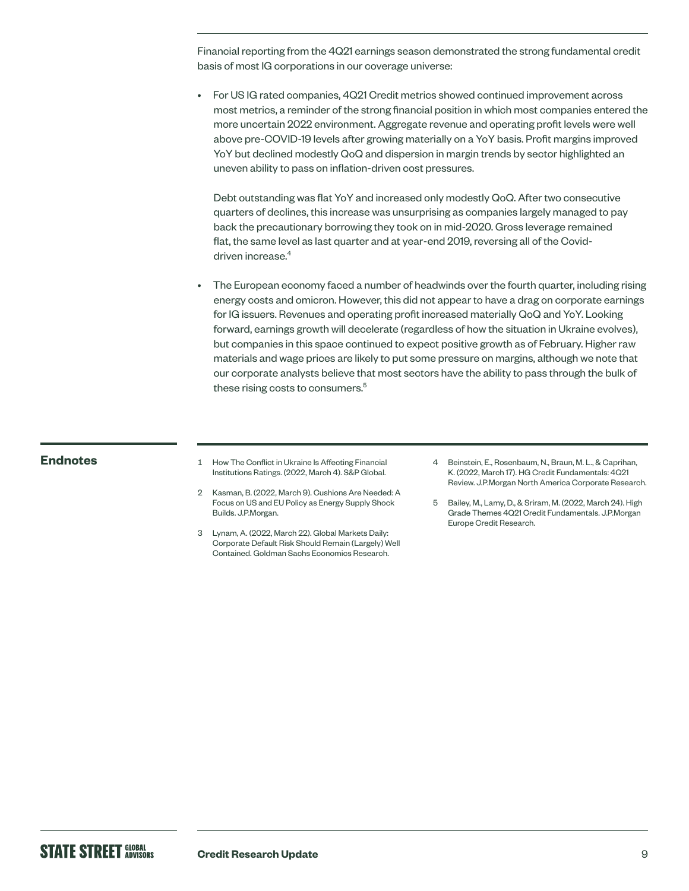Financial reporting from the 4Q21 earnings season demonstrated the strong fundamental credit basis of most IG corporations in our coverage universe:

• For US IG rated companies, 4Q21 Credit metrics showed continued improvement across most metrics, a reminder of the strong financial position in which most companies entered the more uncertain 2022 environment. Aggregate revenue and operating profit levels were well above pre-COVID-19 levels after growing materially on a YoY basis. Profit margins improved YoY but declined modestly QoQ and dispersion in margin trends by sector highlighted an uneven ability to pass on inflation-driven cost pressures.

Debt outstanding was flat YoY and increased only modestly QoQ. After two consecutive quarters of declines, this increase was unsurprising as companies largely managed to pay back the precautionary borrowing they took on in mid-2020. Gross leverage remained flat, the same level as last quarter and at year-end 2019, reversing all of the Coviddriven increase.<sup>4</sup>

• The European economy faced a number of headwinds over the fourth quarter, including rising energy costs and omicron. However, this did not appear to have a drag on corporate earnings for IG issuers. Revenues and operating profit increased materially QoQ and YoY. Looking forward, earnings growth will decelerate (regardless of how the situation in Ukraine evolves), but companies in this space continued to expect positive growth as of February. Higher raw materials and wage prices are likely to put some pressure on margins, although we note that our corporate analysts believe that most sectors have the ability to pass through the bulk of these rising costs to consumers.<sup>5</sup>

- **Endnotes** 1 How The Conflict in Ukraine Is Affecting Financial Institutions Ratings. (2022, March 4). S&P Global.
	- 2 Kasman, B. (2022, March 9). Cushions Are Needed: A Focus on US and EU Policy as Energy Supply Shock Builds. J.P.Morgan.
	- 3 Lynam, A. (2022, March 22). Global Markets Daily: Corporate Default Risk Should Remain (Largely) Well Contained. Goldman Sachs Economics Research.
- 4 Beinstein, E., Rosenbaum, N., Braun, M. L., & Caprihan, K. (2022, March 17). HG Credit Fundamentals: 4Q21 Review. J.P.Morgan North America Corporate Research.
- 5 Bailey, M., Lamy, D., & Sriram, M. (2022, March 24). High Grade Themes 4Q21 Credit Fundamentals. J.P.Morgan Europe Credit Research.